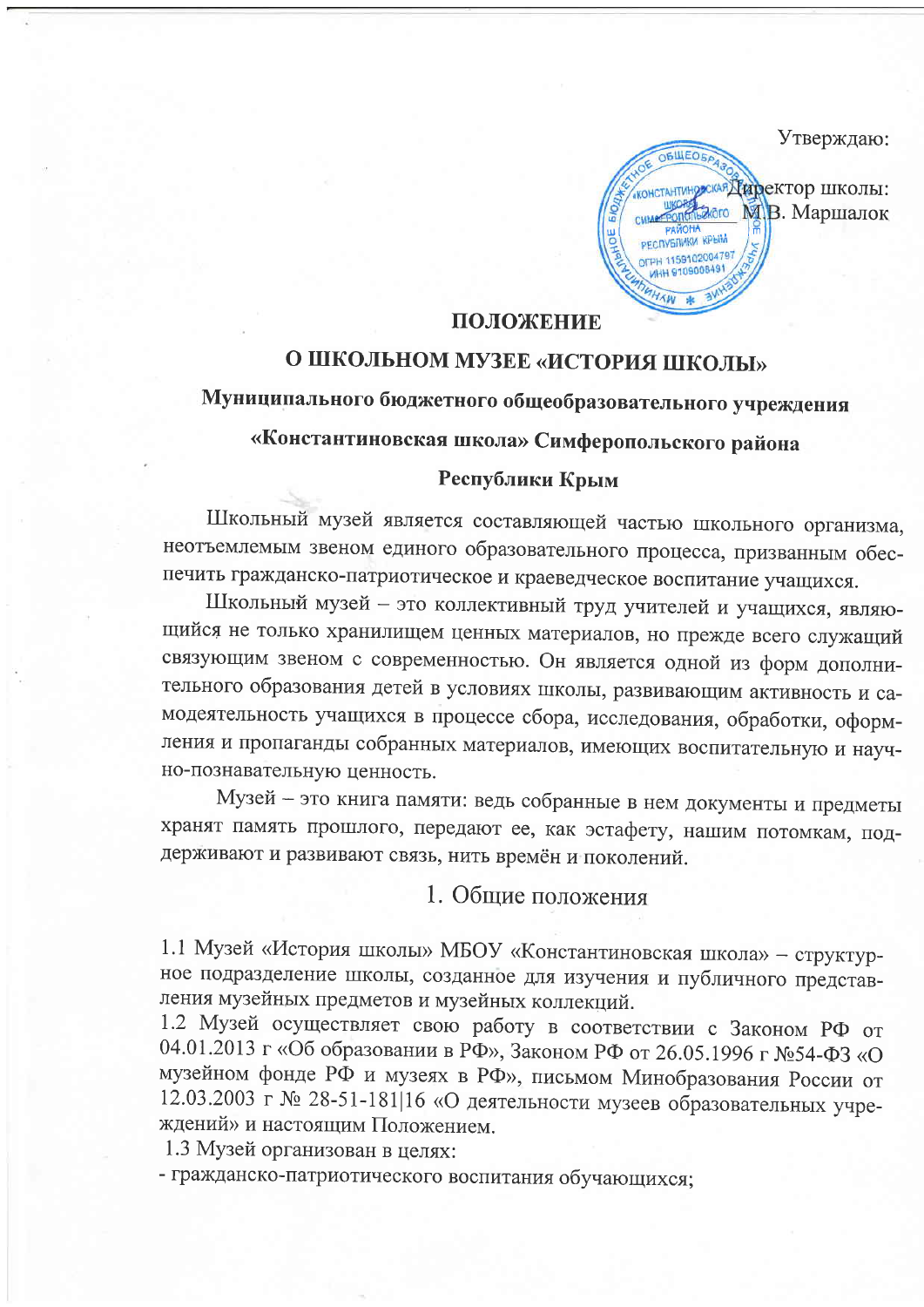Утверждаю:

**OBLIEDE еская Директор школы:** akoro М.В. Маршалок **УБЛИКИ КРЫМ** 1159102004797

### ПОЛОЖЕНИЕ

# О ШКОЛЬНОМ МУЗЕЕ «ИСТОРИЯ ШКОЛЫ»

# Муниципального бюджетного общеобразовательного учреждения

# «Константиновская школа» Симферопольского района

#### Республики Крым

Школьный музей является составляющей частью школьного организма, неотъемлемым звеном единого образовательного процесса, призванным обеспечить гражданско-патриотическое и краеведческое воспитание учащихся.

Школьный музей - это коллективный труд учителей и учащихся, являющийся не только хранилищем ценных материалов, но прежде всего служащий связующим звеном с современностью. Он является одной из форм дополнительного образования детей в условиях школы, развивающим активность и самодеятельность учащихся в процессе сбора, исследования, обработки, оформления и пропаганды собранных материалов, имеющих воспитательную и научно-познавательную ценность.

Музей - это книга памяти: ведь собранные в нем документы и предметы хранят память прошлого, передают ее, как эстафету, нашим потомкам, поддерживают и развивают связь, нить времён и поколений.

1. Общие положения

1.1 Музей «История школы» МБОУ «Константиновская школа» - структурное подразделение школы, созданное для изучения и публичного представления музейных предметов и музейных коллекций.

1.2 Музей осуществляет свою работу в соответствии с Законом РФ от 04.01.2013 г «Об образовании в РФ», Законом РФ от 26.05.1996 г №54-ФЗ «О музейном фонде РФ и музеях в РФ», письмом Минобразования России от 12.03.2003 г № 28-51-181|16 «О деятельности музеев образовательных учреждений» и настоящим Положением.

1.3 Музей организован в целях:

- гражданско-патриотического воспитания обучающихся;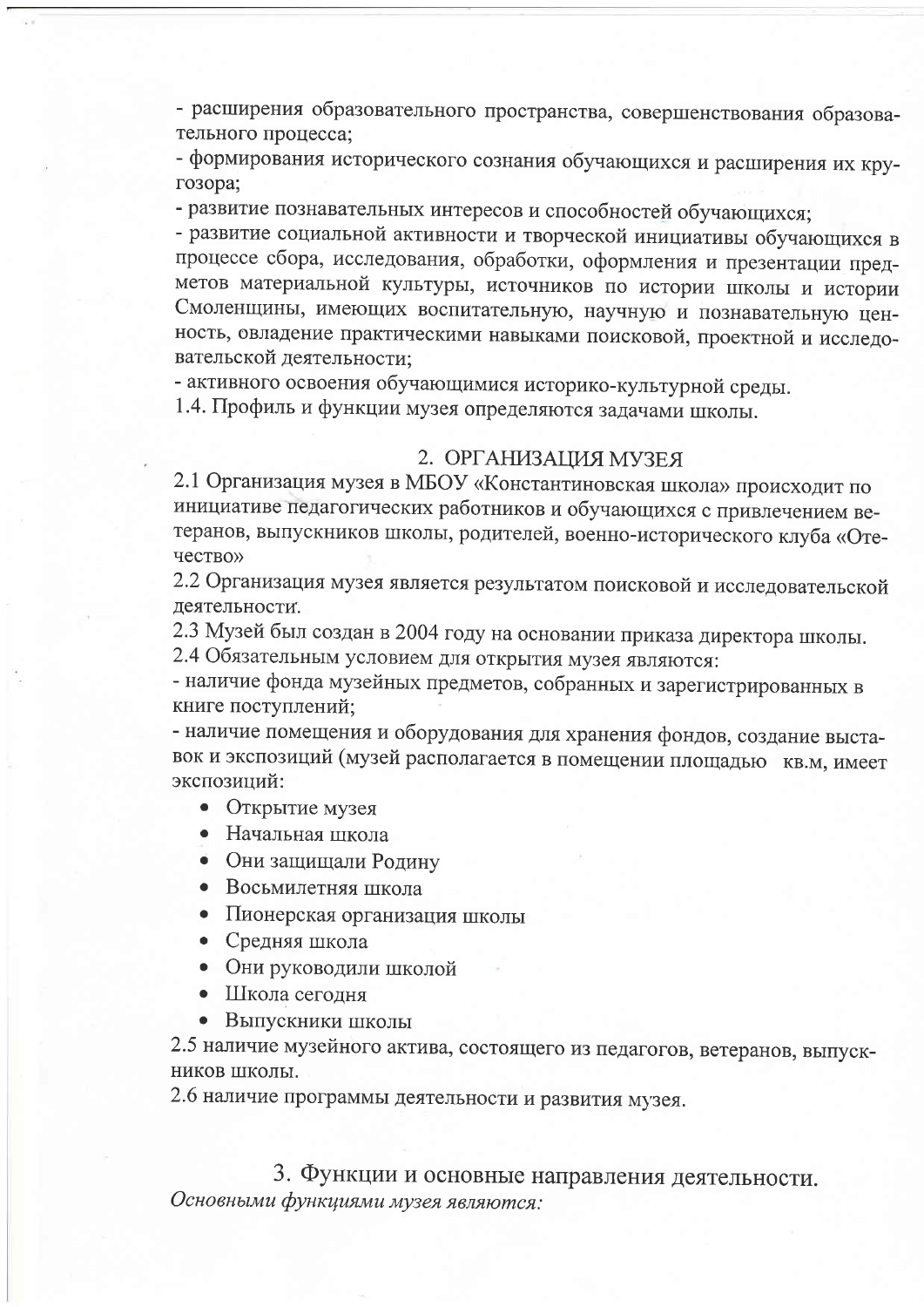- расширения образовательного пространства, совершенствования образовательного процесса:

- формирования исторического сознания обучающихся и расширения их кругозора;

- развитие познавательных интересов и способностей обучающихся;

- развитие социальной активности и творческой инициативы обучающихся в процессе сбора, исследования, обработки, оформления и презентации предметов материальной культуры, источников по истории школы и истории Смоленщины, имеющих воспитательную, научную и познавательную ценность, овладение практическими навыками поисковой, проектной и исследовательской деятельности;

- активного освоения обучающимися историко-культурной среды.

1.4. Профиль и функции музея определяются задачами школы.

#### 2. ОРГАНИЗАЦИЯ МУЗЕЯ

2.1 Организация музея в МБОУ «Константиновская школа» происходит по инициативе педагогических работников и обучающихся с привлечением ветеранов, выпускников школы, родителей, военно-исторического клуба «Отечество»

2.2 Организация музея является результатом поисковой и исследовательской деятельности.

2.3 Музей был создан в 2004 году на основании приказа директора школы. 2.4 Обязательным условием для открытия музея являются:

- наличие фонда музейных предметов, собранных и зарегистрированных в книге поступлений;

- наличие помещения и оборудования для хранения фондов, создание выставок и экспозиций (музей располагается в помещении площадью кв.м, имеет экспозиций:

- Открытие музея
- Начальная школа
- Они защищали Родину
- Восьмилетняя школа
- Пионерская организация школы
- Средняя школа
- Они руководили школой
- Школа сегодня
- Выпускники школы

2.5 наличие музейного актива, состоящего из педагогов, ветеранов, выпускников школы.

2.6 наличие программы деятельности и развития музея.

3. Функции и основные направления деятельности. Основными функциями музея являются: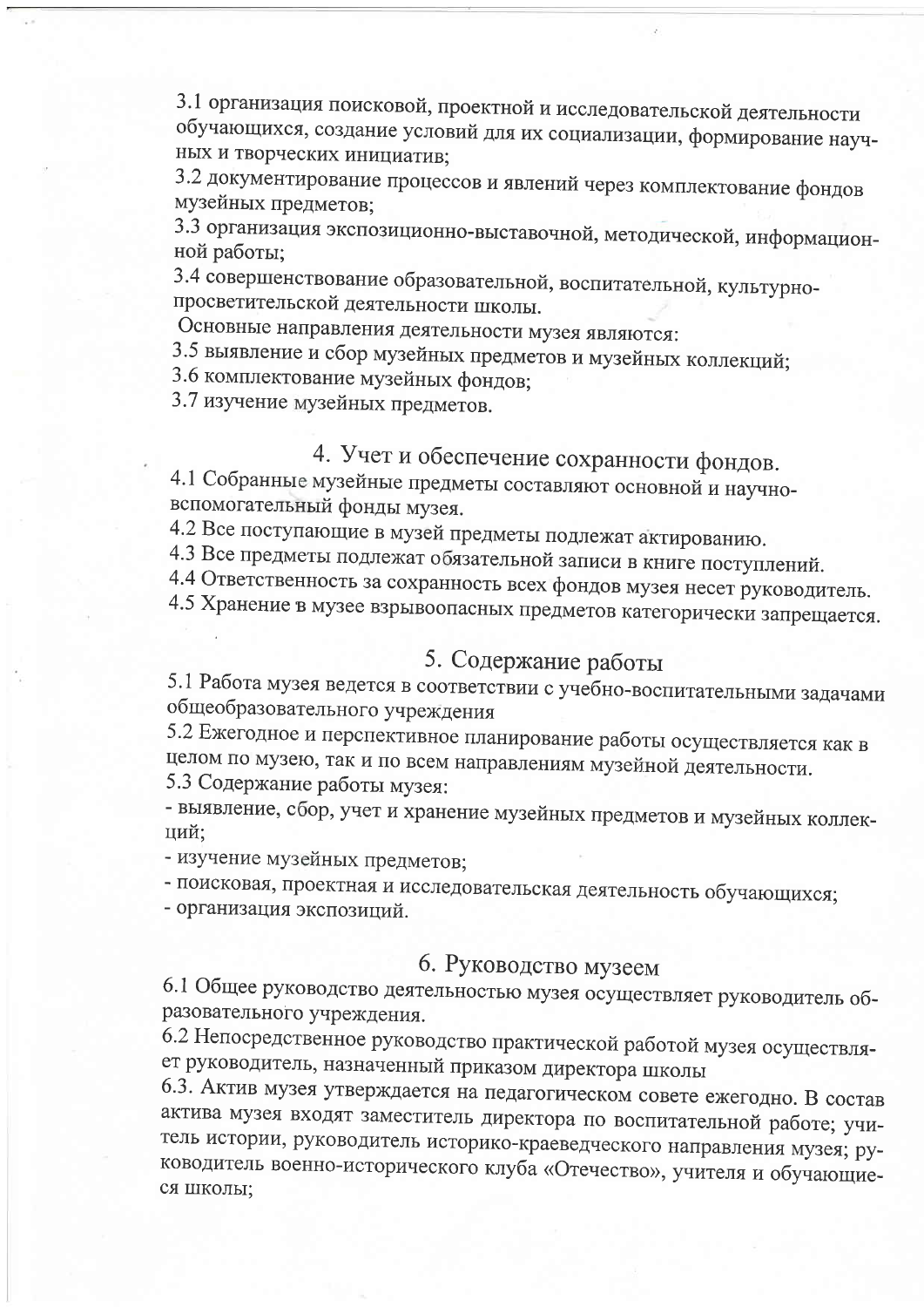3.1 организация поисковой, проектной и исследовательской деятельности обучающихся, создание условий для их социализации, формирование научных и творческих инициатив;

3.2 документирование процессов и явлений через комплектование фондов музейных предметов;

3.3 организация экспозиционно-выставочной, методической, информационной работы;

3.4 совершенствование образовательной, воспитательной, культурнопросветительской деятельности школы.

Основные направления деятельности музея являются:

3.5 выявление и сбор музейных предметов и музейных коллекций;

3.6 комплектование музейных фондов;

3.7 изучение музейных предметов.

# 4. Учет и обеспечение сохранности фондов.

4.1 Собранные музейные предметы составляют основной и научновспомогательный фонды музея.

4.2 Все поступающие в музей предметы подлежат актированию.

4.3 Все предметы подлежат обязательной записи в книге поступлений.

4.4 Ответственность за сохранность всех фондов музея несет руководитель.

4.5 Хранение в музее взрывоопасных предметов категорически запрещается.

## 5. Содержание работы

5.1 Работа музея ведется в соответствии с учебно-воспитательными задачами общеобразовательного учреждения

5.2 Ежегодное и перспективное планирование работы осуществляется как в целом по музею, так и по всем направлениям музейной деятельности. 5.3 Содержание работы музея:

- выявление, сбор, учет и хранение музейных предметов и музейных коллекций:

- изучение музейных предметов;

- поисковая, проектная и исследовательская деятельность обучающихся;

- организация экспозиций.

### 6. Руководство музеем

6.1 Общее руководство деятельностью музея осуществляет руководитель образовательного учреждения.

6.2 Непосредственное руководство практической работой музея осуществляет руководитель, назначенный приказом директора школы

6.3. Актив музея утверждается на педагогическом совете ежегодно. В состав актива музея входят заместитель директора по воспитательной работе; учитель истории, руководитель историко-краеведческого направления музея; руководитель военно-исторического клуба «Отечество», учителя и обучающиеся школы;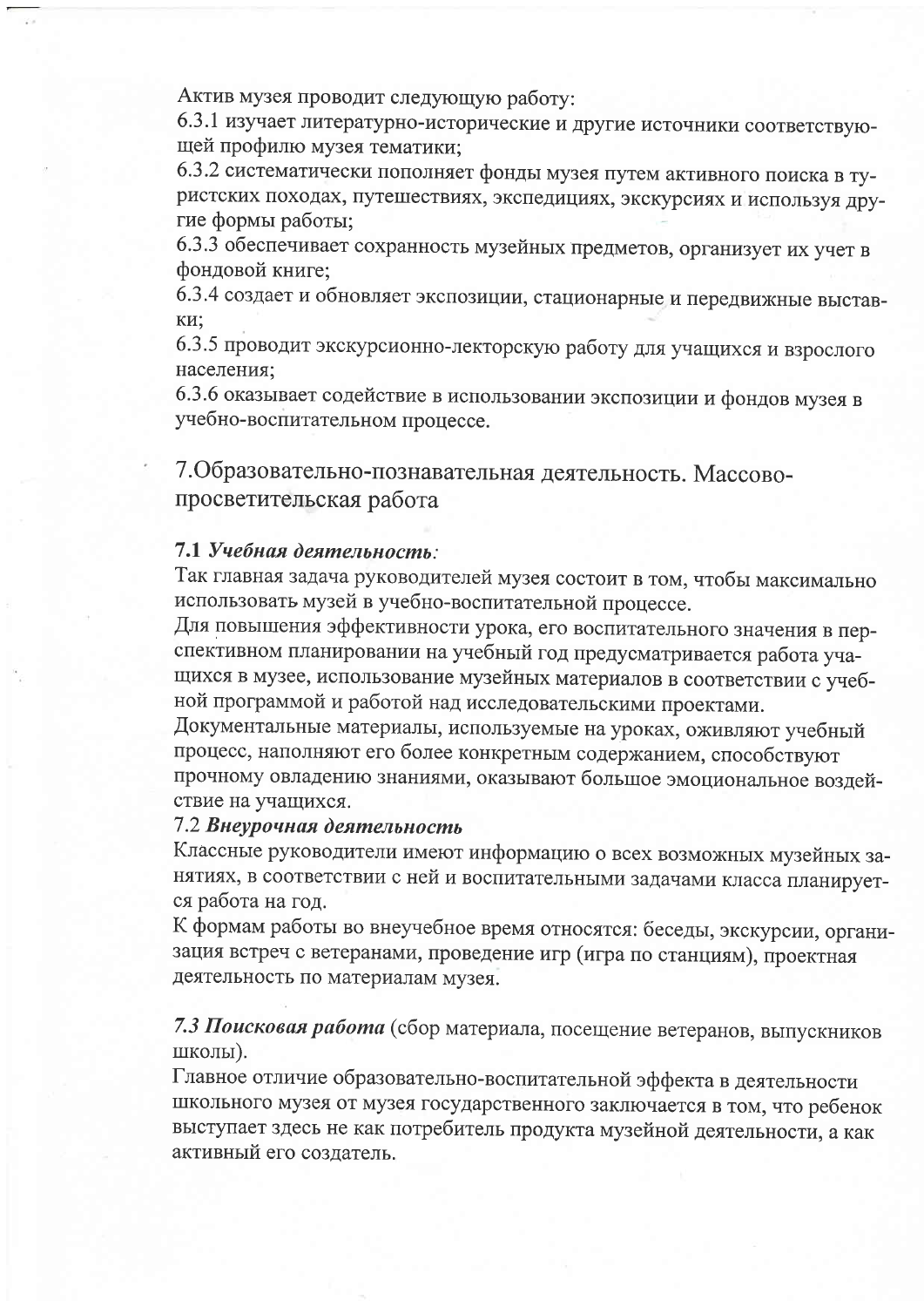Актив музея проводит следующую работу:

6.3.1 изучает литературно-исторические и другие источники соответствующей профилю музея тематики;

6.3.2 систематически пополняет фонды музея путем активного поиска в туристских походах, путешествиях, экспедициях, экскурсиях и используя другие формы работы;

6.3.3 обеспечивает сохранность музейных предметов, организует их учет в фондовой книге;

6.3.4 создает и обновляет экспозиции, стационарные и передвижные выставки:

6.3.5 проводит экскурсионно-лекторскую работу для учащихся и взрослого населения:

6.3.6 оказывает содействие в использовании экспозиции и фондов музея в учебно-воспитательном процессе.

7. Образовательно-познавательная деятельность. Массовопросветительская работа

#### 7.1 Учебная деятельность:

Так главная задача руководителей музея состоит в том, чтобы максимально использовать музей в учебно-воспитательной процессе.

Для повышения эффективности урока, его воспитательного значения в перспективном планировании на учебный год предусматривается работа учащихся в музее, использование музейных материалов в соответствии с учебной программой и работой над исследовательскими проектами.

Документальные материалы, используемые на уроках, оживляют учебный процесс, наполняют его более конкретным содержанием, способствуют прочному овладению знаниями, оказывают большое эмоциональное воздействие на учащихся.

### 7.2 Внеурочная деятельность

Классные руководители имеют информацию о всех возможных музейных занятиях, в соответствии с ней и воспитательными задачами класса планируется работа на год.

К формам работы во внеучебное время относятся: беседы, экскурсии, организация встреч с ветеранами, проведение игр (игра по станциям), проектная деятельность по материалам музея.

### 7.3 Поисковая работа (сбор материала, посещение ветеранов, выпускников школы).

Главное отличие образовательно-воспитательной эффекта в деятельности школьного музея от музея государственного заключается в том, что ребенок выступает здесь не как потребитель продукта музейной деятельности, а как активный его создатель.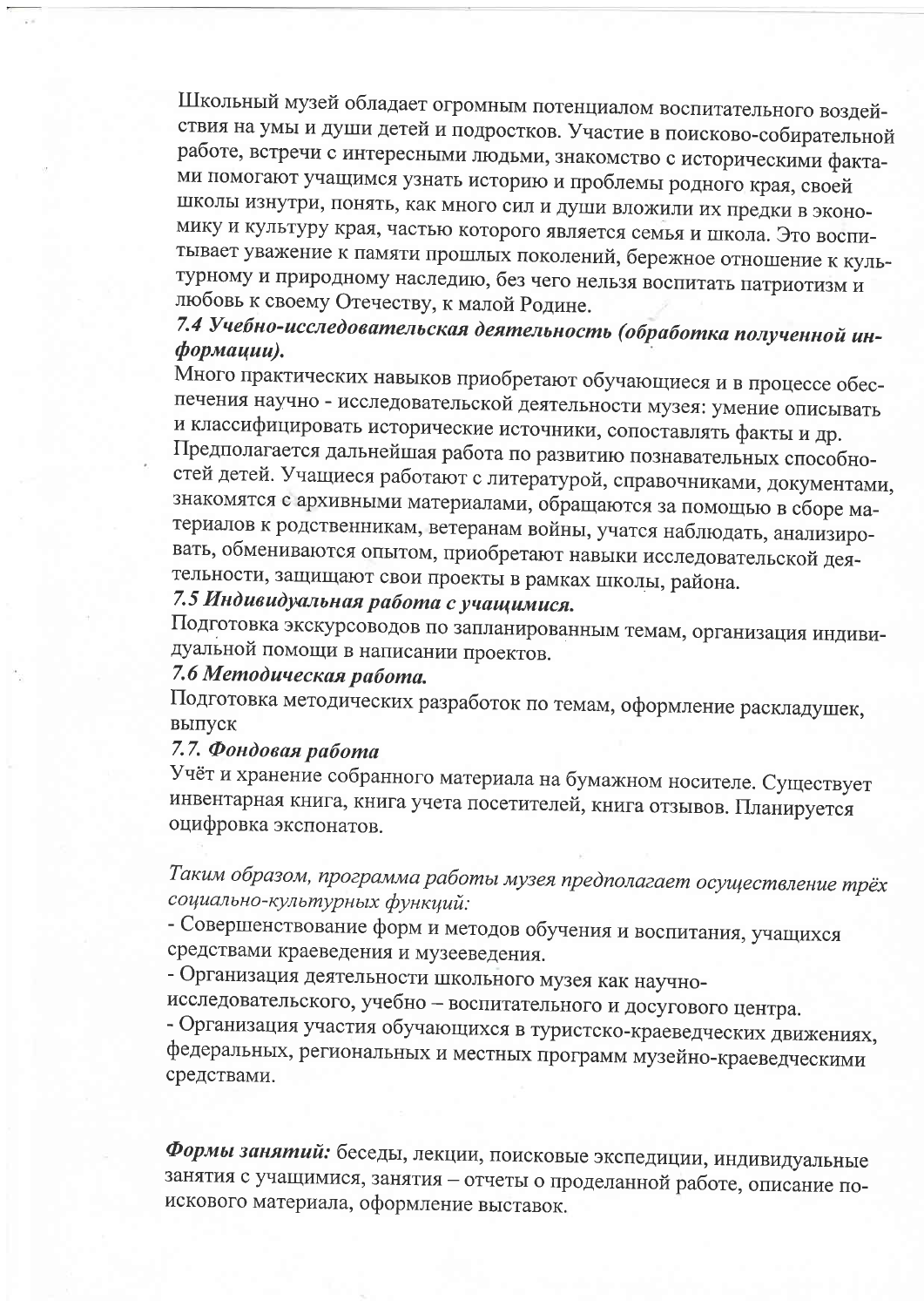Школьный музей обладает огромным потенциалом воспитательного воздействия на умы и души детей и подростков. Участие в поисково-собирательной работе, встречи с интересными людьми, знакомство с историческими фактами помогают учащимся узнать историю и проблемы родного края, своей школы изнутри, понять, как много сил и души вложили их предки в экономику и культуру края, частью которого является семья и школа. Это воспитывает уважение к памяти прошлых поколений, бережное отношение к культурному и природному наследию, без чего нельзя воспитать патриотизм и любовь к своему Отечеству, к малой Родине.

# 7.4 Учебно-исследовательская деятельность (обработка полученной информации).

Много практических навыков приобретают обучающиеся и в процессе обеспечения научно - исследовательской деятельности музея: умение описывать и классифицировать исторические источники, сопоставлять факты и др. Предполагается дальнейшая работа по развитию познавательных способностей детей. Учащиеся работают с литературой, справочниками, документами, знакомятся с архивными материалами, обращаются за помощью в сборе материалов к родственникам, ветеранам войны, учатся наблюдать, анализировать, обмениваются опытом, приобретают навыки исследовательской деятельности, защищают свои проекты в рамках школы, района.

# 7.5 Индивидуальная работа с учащимися.

Подготовка экскурсоводов по запланированным темам, организация индивидуальной помощи в написании проектов.

# 7.6 Методическая работа.

Подготовка методических разработок по темам, оформление раскладушек, выпуск

### 7.7. Фондовая работа

Учёт и хранение собранного материала на бумажном носителе. Существует инвентарная книга, книга учета посетителей, книга отзывов. Планируется оцифровка экспонатов.

Таким образом, программа работы музея предполагает осуществление трёх социально-культурных функций:

- Совершенствование форм и методов обучения и воспитания, учащихся средствами краеведения и музееведения.

- Организация деятельности школьного музея как научно-

исследовательского, учебно - воспитательного и досугового центра.

- Организация участия обучающихся в туристско-краеведческих движениях, федеральных, региональных и местных программ музейно-краеведческими средствами.

Формы занятий: беседы, лекции, поисковые экспедиции, индивидуальные занятия с учащимися, занятия - отчеты о проделанной работе, описание поискового материала, оформление выставок.